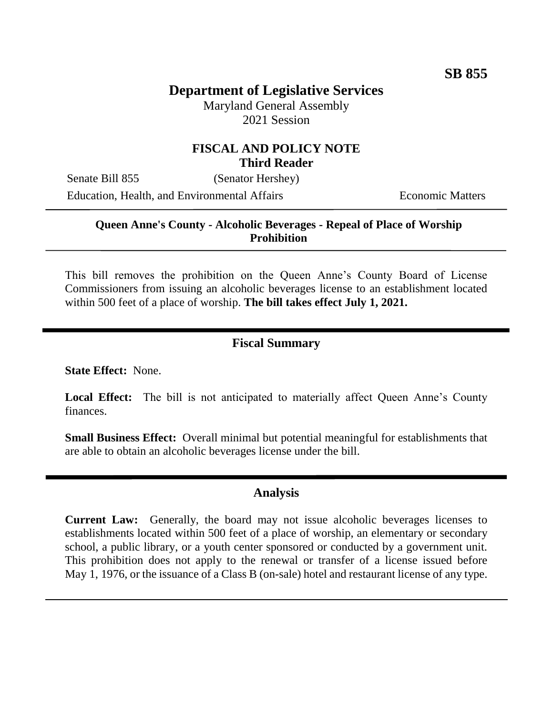# **Department of Legislative Services**

Maryland General Assembly 2021 Session

#### **FISCAL AND POLICY NOTE Third Reader**

Senate Bill 855 (Senator Hershey) Education, Health, and Environmental Affairs **Economic Matters** 

### **Queen Anne's County - Alcoholic Beverages - Repeal of Place of Worship Prohibition**

This bill removes the prohibition on the Queen Anne's County Board of License Commissioners from issuing an alcoholic beverages license to an establishment located within 500 feet of a place of worship. **The bill takes effect July 1, 2021.** 

### **Fiscal Summary**

**State Effect:** None.

Local Effect: The bill is not anticipated to materially affect Queen Anne's County finances.

**Small Business Effect:** Overall minimal but potential meaningful for establishments that are able to obtain an alcoholic beverages license under the bill.

#### **Analysis**

**Current Law:** Generally, the board may not issue alcoholic beverages licenses to establishments located within 500 feet of a place of worship, an elementary or secondary school, a public library, or a youth center sponsored or conducted by a government unit. This prohibition does not apply to the renewal or transfer of a license issued before May 1, 1976, or the issuance of a Class B (on-sale) hotel and restaurant license of any type.